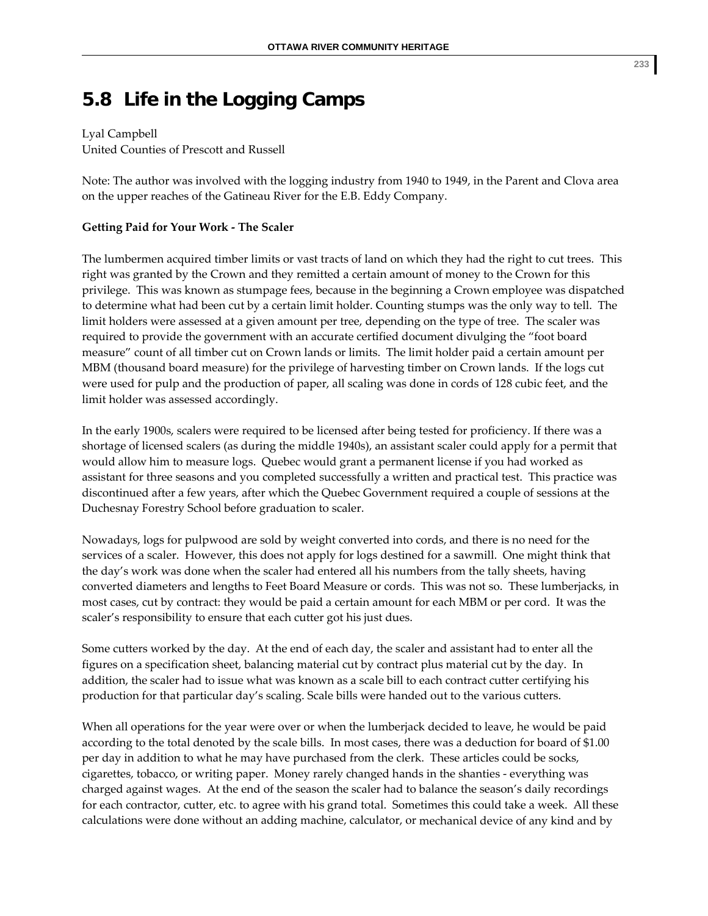## **5.8 Life in the Logging Camps**

## Lyal Campbell

United Counties of Prescott and Russell

Note: The author was involved with the logging industry from 1940 to 1949, in the Parent and Clova area on the upper reaches of the Gatineau River for the E.B. Eddy Company.

## **Getting Paid for Your Work ‐ The Scaler**

The lumbermen acquired timber limits or vast tracts of land on which they had the right to cut trees. This right was granted by the Crown and they remitted a certain amount of money to the Crown for this privilege. This was known as stumpage fees, because in the beginning a Crown employee was dispatched to determine what had been cut by a certain limit holder. Counting stumps was the only way to tell. The limit holders were assessed at a given amount per tree, depending on the type of tree. The scaler was required to provide the government with an accurate certified document divulging the "foot board measure" count of all timber cut on Crown lands or limits. The limit holder paid a certain amount per MBM (thousand board measure) for the privilege of harvesting timber on Crown lands. If the logs cut were used for pulp and the production of paper, all scaling was done in cords of 128 cubic feet, and the limit holder was assessed accordingly.

In the early 1900s, scalers were required to be licensed after being tested for proficiency. If there was a shortage of licensed scalers (as during the middle 1940s), an assistant scaler could apply for a permit that would allow him to measure logs. Quebec would grant a permanent license if you had worked as assistant for three seasons and you completed successfully a written and practical test. This practice was discontinued after a few years, after which the Quebec Government required a couple of sessions at the Duchesnay Forestry School before graduation to scaler.

Nowadays, logs for pulpwood are sold by weight converted into cords, and there is no need for the services of a scaler. However, this does not apply for logs destined for a sawmill. One might think that the day's work was done when the scaler had entered all his numbers from the tally sheets, having converted diameters and lengths to Feet Board Measure or cords. This was not so. These lumberjacks, in most cases, cut by contract: they would be paid a certain amount for each MBM or per cord. It was the scaler's responsibility to ensure that each cutter got his just dues.

Some cutters worked by the day. At the end of each day, the scaler and assistant had to enter all the figures on a specification sheet, balancing material cut by contract plus material cut by the day. In addition, the scaler had to issue what was known as a scale bill to each contract cutter certifying his production for that particular day's scaling. Scale bills were handed out to the various cutters.

When all operations for the year were over or when the lumberjack decided to leave, he would be paid according to the total denoted by the scale bills. In most cases, there was a deduction for board of \$1.00 per day in addition to what he may have purchased from the clerk. These articles could be socks, cigarettes, tobacco, or writing paper. Money rarely changed hands in the shanties ‐ everything was charged against wages. At the end of the season the scaler had to balance the season's daily recordings for each contractor, cutter, etc. to agree with his grand total. Sometimes this could take a week. All these calculations were done without an adding machine, calculator, or mechanical device of any kind and by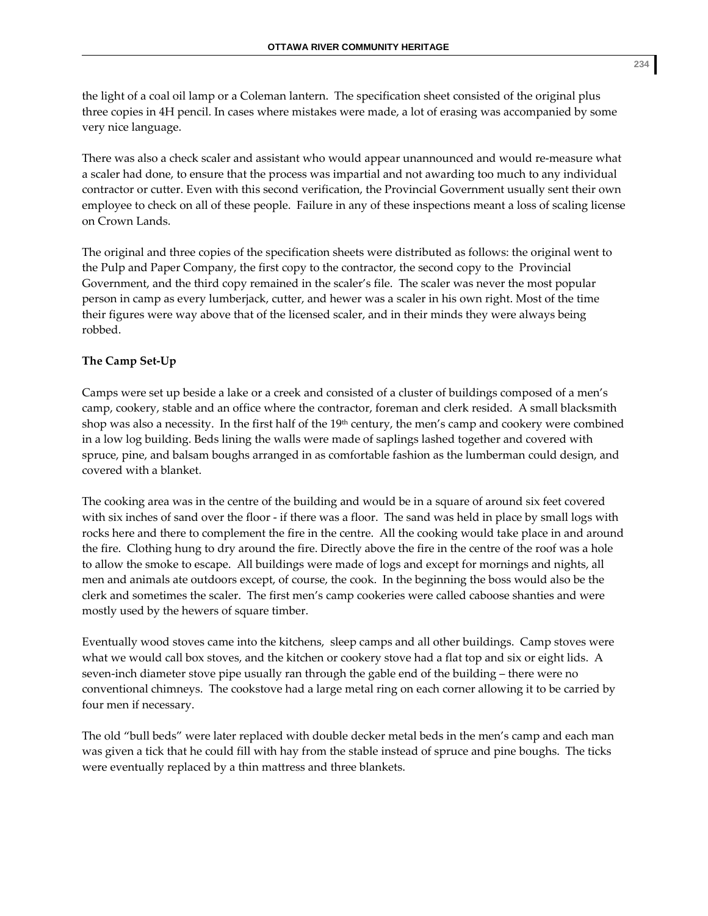the light of a coal oil lamp or a Coleman lantern. The specification sheet consisted of the original plus three copies in 4H pencil. In cases where mistakes were made, a lot of erasing was accompanied by some very nice language.

There was also a check scaler and assistant who would appear unannounced and would re-measure what a scaler had done, to ensure that the process was impartial and not awarding too much to any individual contractor or cutter. Even with this second verification, the Provincial Government usually sent their own employee to check on all of these people. Failure in any of these inspections meant a loss of scaling license on Crown Lands.

The original and three copies of the specification sheets were distributed as follows: the original went to the Pulp and Paper Company, the first copy to the contractor, the second copy to the Provincial Government, and the third copy remained in the scaler's file. The scaler was never the most popular person in camp as every lumberjack, cutter, and hewer was a scaler in his own right. Most of the time their figures were way above that of the licensed scaler, and in their minds they were always being robbed.

## **The Camp Set‐Up**

Camps were set up beside a lake or a creek and consisted of a cluster of buildings composed of a men's camp, cookery, stable and an office where the contractor, foreman and clerk resided. A small blacksmith shop was also a necessity. In the first half of the  $19<sup>th</sup>$  century, the men's camp and cookery were combined in a low log building. Beds lining the walls were made of saplings lashed together and covered with spruce, pine, and balsam boughs arranged in as comfortable fashion as the lumberman could design, and covered with a blanket.

The cooking area was in the centre of the building and would be in a square of around six feet covered with six inches of sand over the floor - if there was a floor. The sand was held in place by small logs with rocks here and there to complement the fire in the centre. All the cooking would take place in and around the fire. Clothing hung to dry around the fire. Directly above the fire in the centre of the roof was a hole to allow the smoke to escape. All buildings were made of logs and except for mornings and nights, all men and animals ate outdoors except, of course, the cook. In the beginning the boss would also be the clerk and sometimes the scaler. The first men's camp cookeries were called caboose shanties and were mostly used by the hewers of square timber.

Eventually wood stoves came into the kitchens, sleep camps and all other buildings. Camp stoves were what we would call box stoves, and the kitchen or cookery stove had a flat top and six or eight lids. A seven-inch diameter stove pipe usually ran through the gable end of the building – there were no conventional chimneys. The cookstove had a large metal ring on each corner allowing it to be carried by four men if necessary.

The old "bull beds" were later replaced with double decker metal beds in the men's camp and each man was given a tick that he could fill with hay from the stable instead of spruce and pine boughs. The ticks were eventually replaced by a thin mattress and three blankets.